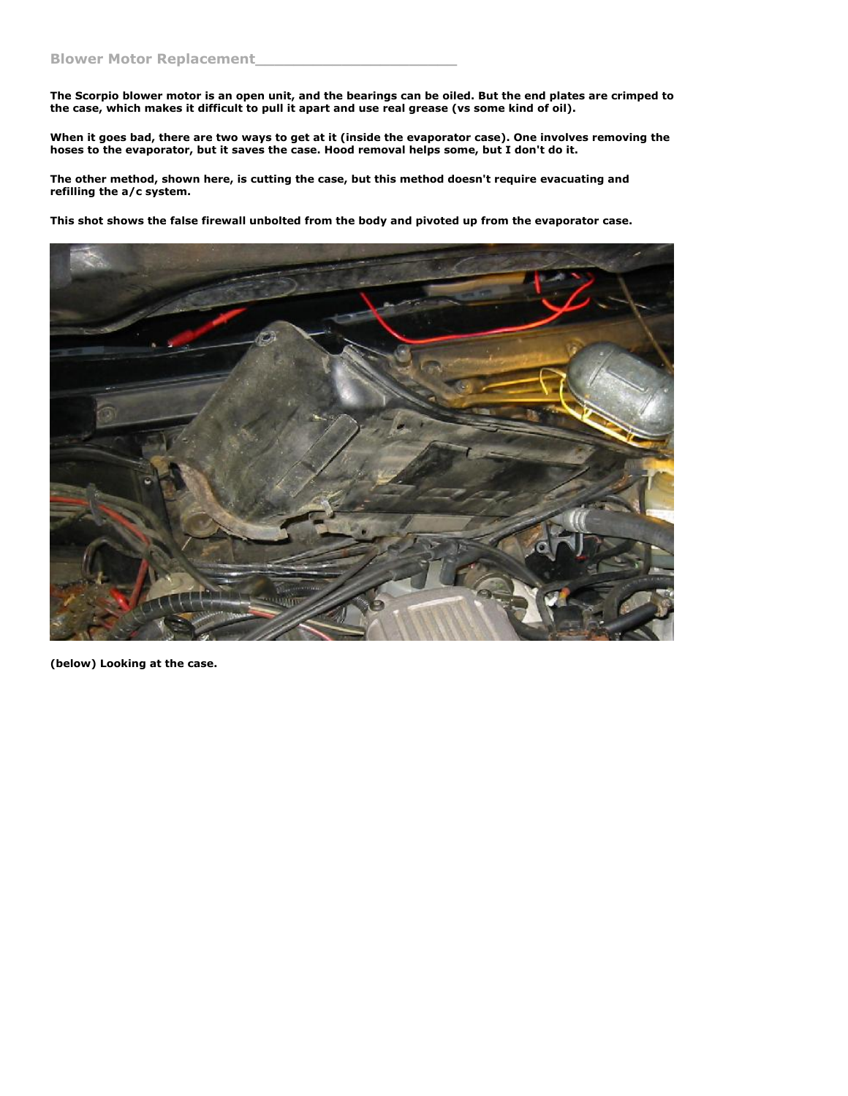**The Scorpio blower motor is an open unit, and the bearings can be oiled. But the end plates are crimped to the case, which makes it difficult to pull it apart and use real grease (vs some kind of oil).**

**When it goes bad, there are two ways to get at it (inside the evaporator case). One involves removing the hoses to the evaporator, but it saves the case. Hood removal helps some, but I don't do it.**

**The other method, shown here, is cutting the case, but this method doesn't require evacuating and refilling the a/c system.**

**This shot shows the false firewall unbolted from the body and pivoted up from the evaporator case.**



**(below) Looking at the case.**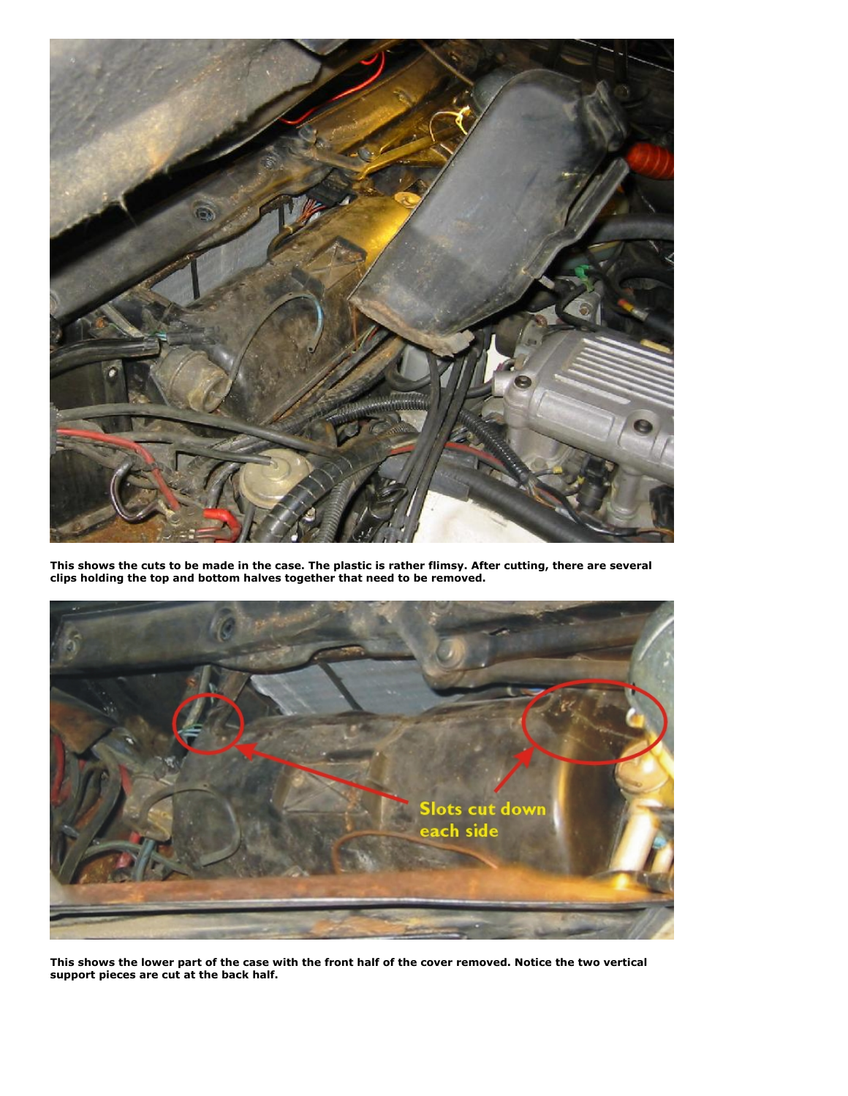

**This shows the cuts to be made in the case. The plastic is rather flimsy. After cutting, there are several clips holding the top and bottom halves together that need to be removed.**



**This shows the lower part of the case with the front half of the cover removed. Notice the two vertical support pieces are cut at the back half.**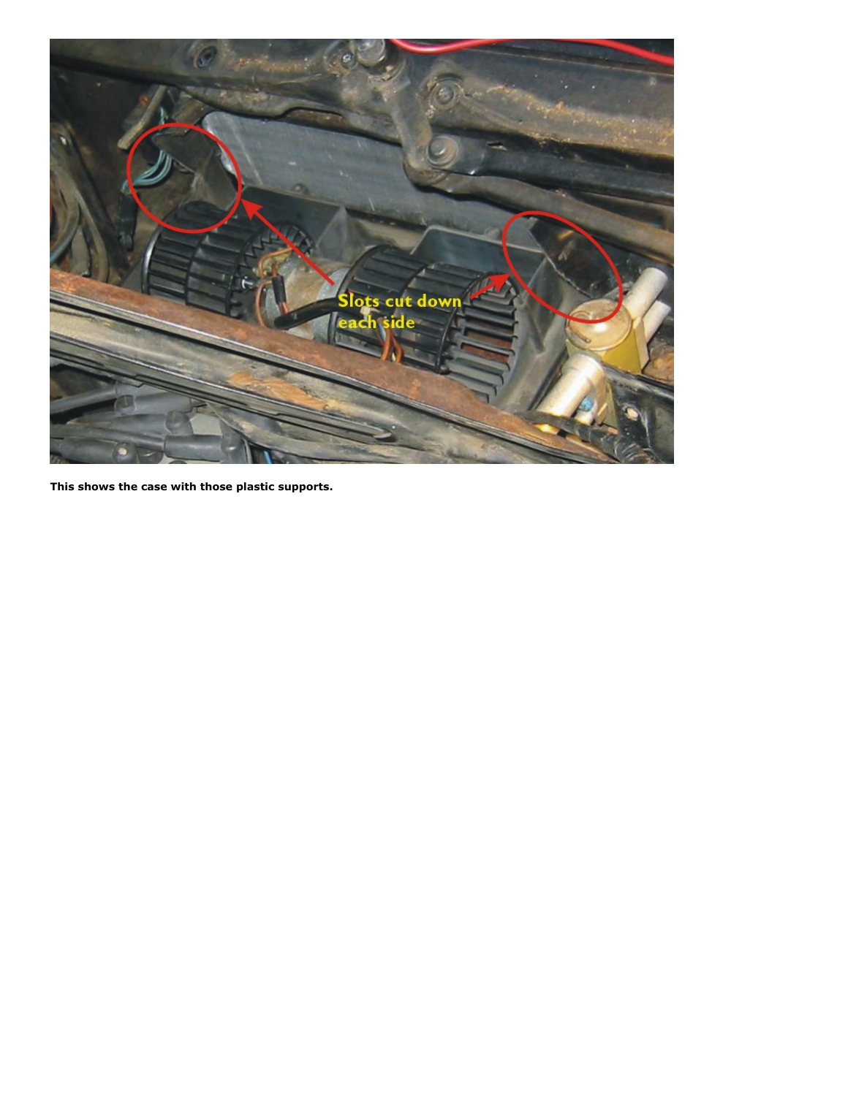

**This shows the case with those plastic supports.**